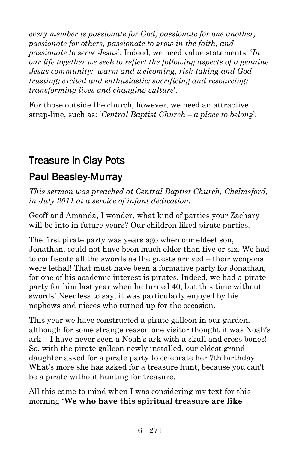*every member is passionate for God, passionate for one another, passionate for others, passionate to grow in the faith, and passionate to serve Jesus*'. Indeed, we need value statements: '*In our life together we seek to reflect the following aspects of a genuine Jesus community: warm and welcoming, risk-taking and Godtrusting; excited and enthusiastic; sacrificing and resourcing; transforming lives and changing culture*'.

For those outside the church, however, we need an attractive strap-line, such as: '*Central Baptist Church – a place to belong*'.

# Treasure in Clay Pots

## [Paul Beasley-Murray](http://ministrytoday.org.uk/magazine/authors/423/)

*This sermon was preached at Central Baptist Church, Chelmsford, in July 2011 at a service of infant dedication.*

Geoff and Amanda, I wonder, what kind of parties your Zachary will be into in future years? Our children liked pirate parties.

The first pirate party was years ago when our eldest son, Jonathan, could not have been much older than five or six. We had to confiscate all the swords as the guests arrived – their weapons were lethal! That must have been a formative party for Jonathan, for one of his academic interest is pirates. Indeed, we had a pirate party for him last year when he turned 40, but this time without swords! Needless to say, it was particularly enjoyed by his nephews and nieces who turned up for the occasion.

This year we have constructed a pirate galleon in our garden, although for some strange reason one visitor thought it was Noah's ark – I have never seen a Noah's ark with a skull and cross bones! So, with the pirate galleon newly installed, our eldest granddaughter asked for a pirate party to celebrate her 7th birthday. What's more she has asked for a treasure hunt, because you can't be a pirate without hunting for treasure.

All this came to mind when I was considering my text for this morning "**We who have this spiritual treasure are like**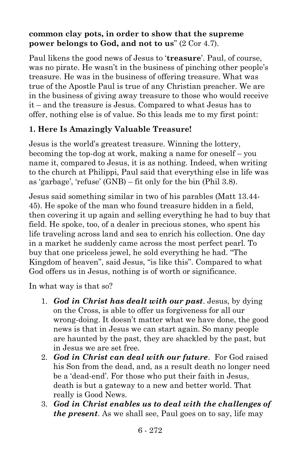#### **common clay pots, in order to show that the supreme power belongs to God, and not to us**" (2 Cor 4.7).

Paul likens the good news of Jesus to '**treasure**'. Paul, of course, was no pirate. He wasn't in the business of pinching other people's treasure. He was in the business of offering treasure. What was true of the Apostle Paul is true of any Christian preacher. We are in the business of giving away treasure to those who would receive it – and the treasure is Jesus. Compared to what Jesus has to offer, nothing else is of value. So this leads me to my first point:

### **1. Here Is Amazingly Valuable Treasure!**

Jesus is the world's greatest treasure. Winning the lottery, becoming the top-dog at work, making a name for oneself – you name it, compared to Jesus, it is as nothing. Indeed, when writing to the church at Philippi, Paul said that everything else in life was as 'garbage', 'refuse' (GNB) – fit only for the bin (Phil 3.8).

Jesus said something similar in two of his parables (Matt 13.44- 45). He spoke of the man who found treasure hidden in a field, then covering it up again and selling everything he had to buy that field. He spoke, too, of a dealer in precious stones, who spent his life traveling across land and sea to enrich his collection. One day in a market he suddenly came across the most perfect pearl. To buy that one priceless jewel, he sold everything he had. "The Kingdom of heaven", said Jesus, "is like this". Compared to what God offers us in Jesus, nothing is of worth or significance.

In what way is that so?

- 1. *God in Christ has dealt with our past*. Jesus, by dying on the Cross, is able to offer us forgiveness for all our wrong-doing. It doesn't matter what we have done, the good news is that in Jesus we can start again. So many people are haunted by the past, they are shackled by the past, but in Jesus we are set free.
- 2. *God in Christ can deal with our future*. For God raised his Son from the dead, and, as a result death no longer need be a 'dead-end'. For those who put their faith in Jesus, death is but a gateway to a new and better world. That really is Good News.
- 3. *God in Christ enables us to deal with the challenges of the present*. As we shall see, Paul goes on to say, life may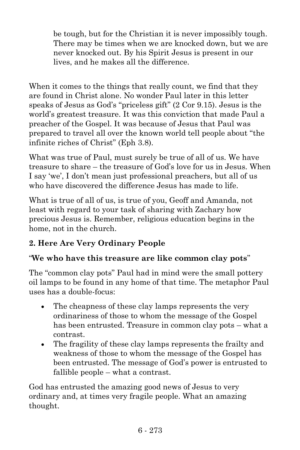be tough, but for the Christian it is never impossibly tough. There may be times when we are knocked down, but we are never knocked out. By his Spirit Jesus is present in our lives, and he makes all the difference.

When it comes to the things that really count, we find that they are found in Christ alone. No wonder Paul later in this letter speaks of Jesus as God's "priceless gift" (2 Cor 9.15). Jesus is the world's greatest treasure. It was this conviction that made Paul a preacher of the Gospel. It was because of Jesus that Paul was prepared to travel all over the known world tell people about "the infinite riches of Christ" (Eph 3.8).

What was true of Paul, must surely be true of all of us. We have treasure to share – the treasure of God's love for us in Jesus. When I say 'we', I don't mean just professional preachers, but all of us who have discovered the difference Jesus has made to life.

What is true of all of us, is true of you, Geoff and Amanda, not least with regard to your task of sharing with Zachary how precious Jesus is. Remember, religious education begins in the home, not in the church.

## **2. Here Are Very Ordinary People**

## "**We who have this treasure are like common clay pots**"

The "common clay pots" Paul had in mind were the small pottery oil lamps to be found in any home of that time. The metaphor Paul uses has a double-focus:

- The cheapness of these clay lamps represents the very ordinariness of those to whom the message of the Gospel has been entrusted. Treasure in common clay pots – what a contrast.
- The fragility of these clay lamps represents the frailty and weakness of those to whom the message of the Gospel has been entrusted. The message of God's power is entrusted to fallible people – what a contrast.

God has entrusted the amazing good news of Jesus to very ordinary and, at times very fragile people. What an amazing thought.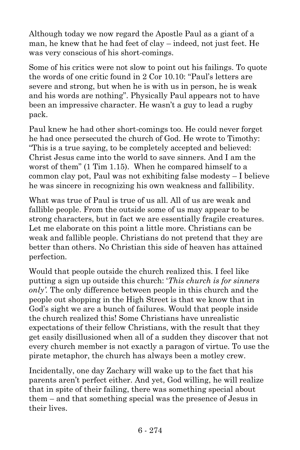Although today we now regard the Apostle Paul as a giant of a man, he knew that he had feet of clay – indeed, not just feet. He was very conscious of his short-comings.

Some of his critics were not slow to point out his failings. To quote the words of one critic found in 2 Cor 10.10: "Paul's letters are severe and strong, but when he is with us in person, he is weak and his words are nothing". Physically Paul appears not to have been an impressive character. He wasn't a guy to lead a rugby pack.

Paul knew he had other short-comings too. He could never forget he had once persecuted the church of God. He wrote to Timothy: "This is a true saying, to be completely accepted and believed: Christ Jesus came into the world to save sinners. And I am the worst of them" (1 Tim 1.15). When he compared himself to a common clay pot, Paul was not exhibiting false modesty – I believe he was sincere in recognizing his own weakness and fallibility.

What was true of Paul is true of us all. All of us are weak and fallible people. From the outside some of us may appear to be strong characters, but in fact we are essentially fragile creatures. Let me elaborate on this point a little more. Christians can be weak and fallible people. Christians do not pretend that they are better than others. No Christian this side of heaven has attained perfection.

Would that people outside the church realized this. I feel like putting a sign up outside this church: '*This church is for sinners only'.* The only difference between people in this church and the people out shopping in the High Street is that we know that in God's sight we are a bunch of failures. Would that people inside the church realized this! Some Christians have unrealistic expectations of their fellow Christians, with the result that they get easily disillusioned when all of a sudden they discover that not every church member is not exactly a paragon of virtue. To use the pirate metaphor, the church has always been a motley crew.

Incidentally, one day Zachary will wake up to the fact that his parents aren't perfect either. And yet, God willing, he will realize that in spite of their failing, there was something special about them – and that something special was the presence of Jesus in their lives.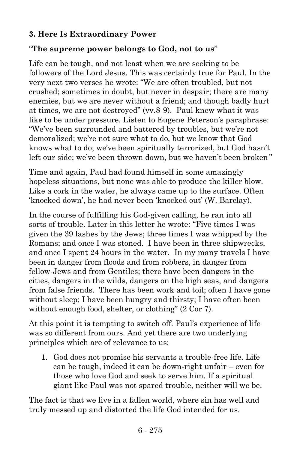#### **3. Here Is Extraordinary Power**

#### "**The supreme power belongs to God, not to us**"

Life can be tough, and not least when we are seeking to be followers of the Lord Jesus. This was certainly true for Paul. In the very next two verses he wrote: "We are often troubled, but not crushed; sometimes in doubt, but never in despair; there are many enemies, but we are never without a friend; and though badly hurt at times, we are not destroyed" (vv.8-9). Paul knew what it was like to be under pressure. Listen to Eugene Peterson's paraphrase: "We've been surrounded and battered by troubles, but we're not demoralized; we're not sure what to do, but we know that God knows what to do; we've been spiritually terrorized, but God hasn't left our side; we've been thrown down, but we haven't been broken*"*

Time and again, Paul had found himself in some amazingly hopeless situations, but none was able to produce the killer blow. Like a cork in the water, he always came up to the surface. Often 'knocked down', he had never been 'knocked out' (W. Barclay).

In the course of fulfilling his God-given calling, he ran into all sorts of trouble. Later in this letter he wrote: "Five times I was given the 39 lashes by the Jews; three times I was whipped by the Romans; and once I was stoned. I have been in three shipwrecks, and once I spent 24 hours in the water. In my many travels I have been in danger from floods and from robbers, in danger from fellow-Jews and from Gentiles; there have been dangers in the cities, dangers in the wilds, dangers on the high seas, and dangers from false friends. There has been work and toil; often I have gone without sleep; I have been hungry and thirsty; I have often been without enough food, shelter, or clothing" (2 Cor 7).

At this point it is tempting to switch off. Paul's experience of life was so different from ours. And yet there are two underlying principles which are of relevance to us:

1. God does not promise his servants a trouble-free life. Life can be tough, indeed it can be down-right unfair – even for those who love God and seek to serve him. If a spiritual giant like Paul was not spared trouble, neither will we be.

The fact is that we live in a fallen world, where sin has well and truly messed up and distorted the life God intended for us.